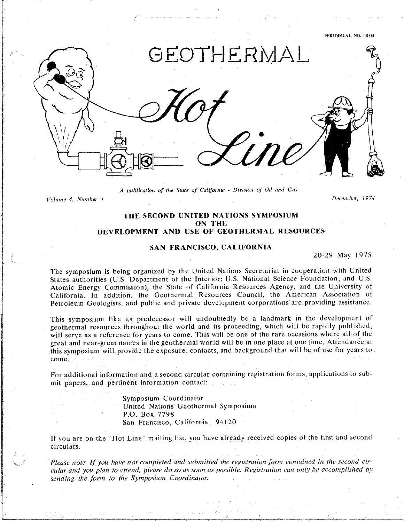PERIODICAL NO. PRO4



*A publication of the State o*,1"*California* - *Division of Oil and Gas*

*Volume 4, Number 4 December, 1974*

### T**H**E SECOND **U**N**I**TE**D** NATI**O**NS SY**MP**OSI**UM ON THE DEVELOPMENT AND USE OF GEOTHERMAL RESOURCES**

### **SAN FRANCISCO, CALIFORNIA**

20-29 May 1975

The symposium is being organized by the United Nations Secretariat in cooperation with United States authorities (U.S. Department of the Interior; U.S. National Science Foundation; and U.S. Atomic Energy Commission), the State of California Resources Agency, and the University of California. In addition, the Geothermal Resources Council, the American Association of Californi**a**. In addition*,* the Geothermal Resources Council. the American Association of Petroleum Geologists*,* and public and private development corporations are providing assistance.

This symposium like its predecessor will undoubtedly be a landmark in the development of geothermal resources throughout the world and its proceeding, which will be rapidly published, will serve as a reference for years to come. This will be one of the rare occasions where all of the great and near-great names in the geothermal world will be in one place at one time. Attendance at great and near-great and near-great near-great near-great near-great near-great near-great to-<br>this symposium will provide the exposure, contacts, and background that will be of use for years to this symposium will provide the exposure*,* contacts, and background that will be of use for years to come.

For additional information and a second circular containing registration forms, applications t**o** submit papers, and pertinent information contact:

> Symposium Coordinat United Nations Geothermal Sympos*m*m P.O. **B**ox 7798 San Francisco, Carnorina 9412

If you are on the "Hot Line" mailing li**s**t. you have already recei*v*ed copies of the first and second circulars*.*

 $\mathcal{L}$  and  $\mathcal{L}$  and  $\mathcal{L}$  and  $\mathcal{L}$  and  $\mathcal{L}$  and  $\mathcal{L}$  and  $\mathcal{L}$  and  $\mathcal{L}$  and  $\mathcal{L}$  and  $\mathcal{L}$  and  $\mathcal{L}$  and  $\mathcal{L}$  and  $\mathcal{L}$  and  $\mathcal{L}$  and  $\mathcal{L}$  and  $\mathcal{L}$  and  $\mathcal{L}$  and can any year to allocate produce you as well as possible regionance an energy accompanion by *sending the Jbrm to the Sympo*s*iu*m *Coordinator*.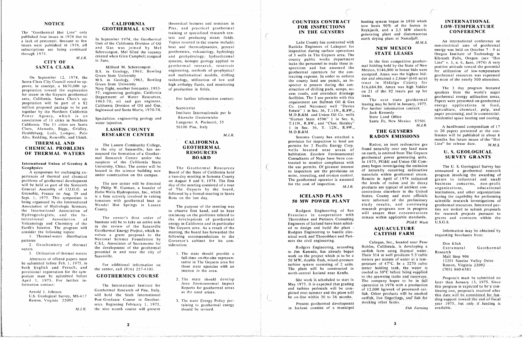### **NOTICE**

The "Geothermal Hot Line" only published four issues in 1974 due to a lack of personnel. Because so few issues were published in 1974, all subscriptions are being continued through 1975.

### $M.J.R.$ **CITY OF** SANTA CLARA

On September 12, 1974, the Santa Clara City Council voted to approve, in concept, a \$670,000 appropriation toward the exploration for steam in the Geysers geothermal area, California. Santa Clara's appropriation will be part of a \$2 million proposed package to be put together by the Northern California Power Agency, which is an association of 11 cities in Northern California. The 11 cities are Santa Clara, Alameda, Biggs, Gridley, Healdsburg, Lodi, Lompoc, Palo Alto, Redding, Roseville, and Ukiah.

### **THERMAL AND CHEMICAL PROBLEMS** OF THERMAL WATERS

International Union of Geodesy & Geophysics

A symposium for exchanging experiences of thermal and chemical problems of geothermal development will be held as part of the Sixteenth General Assembly of I.U.G.G. at Grenoble, France on Aug. 29 and Sept. 1, 1975. This symposium is being organized by the International Association of Hydrologic Sciences, the International Association of Hydrogeologists, and the International Association of Volcanology and Chemistry of the Earth's Interior. The program will consider the following topics:

1. Thermal-water distribution patterns

2. Geochemistry of thermal waters

3. Utilization of thermal waters

Abstracts of offered papers must be submitted before Feb. 1, 1975, in both English and French; and provisional registration for the symposium must be submitted before April 1, 1975. For further information contact:

> Arnold I. Johnson U.S. Geological Survey, MS-417 Reston, Virginia 22092

> > $M.E.R.$

### **CALIFORNIA GEOTHERMAL UNIT**

In September 1974, the Geothermal Unit of the California Division of Oil and Gas was joined by Mel Schrecongost, Mel filled the vacancy created when Glen Campbell resigned in June.

Milford M. Schrecongost B.S. in Geology, 1961, Bowling Green State University M.S. in Geology, 1963, Bowling Green State University Navy flight, weather forecaster, 1953-57; engineering geologist, California Department of Water Resources, 1963-70; oil and gas engineer, California Division of Oil and Gas, Inglewood and Santa Maria, 1970-74.

Specialities: engineering geology and water injection.

### **LASSEN COUNTY RESEARCH CENTER**

The Lassen Community College, in the city of Susanville, has announced the formation of a Geothermal Research Center under the auspices of the California State University, Chico. The center will be housed in the science building now under construction on the campus.

The new center will be directed by Philip W. Gutman, a founder of Hobo Wells Hydroponics, Inc., which is a firm actively involved in raising tomatoes with geothermal heat at Wendel Hot Springs in Lassen County.

The center's first order of business will be to take an active role in the review of the Susanville Geothermal Energy Project, which involves a grant proposal to the National Science Foundation by C.S.L. Associates of Sacramento for the development of the geothermal potential in and near the city of Susanville

For additional information on the center, call (916) 257-4101.

### **GEOTHERMICS COURSE**

The International Institute for Geothermal Research of Pisa, Italy, will hold the Sixth International Post-Graduate Course in Geothermics. Beginning February 1, 1975. the nine month course will present

 $\mathbf{2}$ 

Pisa, and practical geothermal training at specialized research centers and producing steam fields. Topics covered in the course include: heat and thermodynamics, general geothermics, volcanology, hydrology and geohydrology, hydrothermal systems, isotopic geology applied to geothermal research, reservoir engineering, methods of geophysical and mathematical models, drilling technology, utilization of low and high enthalpy fluids, and monitoring of production in fields.

theoretical lectures and seminars in

For further information contact:

Secrétariat Instituto Internazionale per le Ricerche Geotermiche Lungarno A. Pacinotti, 55 56100 Pisa, Italy

 $M.J.R.$ 

### **CALIFORNIA GEOTHERMAL RESOURCES BOARD**

The Geothermal Resources Board of the State of California held a two-day meeting in Sonoma County on August 8 and 9, 1974. The first day of the meeting consisted of a tour of The Geysers by the board, followed by a formal meeting in Santa Rosa on the last day.

The purpose of the meeting was to observe first hand, and to hear testimony on the problems related to the development of geothermal energy in California and in particular The Geysers area. As a result of the meeting, the board has forwarded the following recommendations to the Governor's cabinet for its consideration:

- 1. The state should provide a full-time on-the-site representative in The Geysers area for those state agencies with an interest in the area.
- 2. The state should develop Area Environmental Impact Reports for geothermal areas as the need arises.
- 3. The state Energy Policy pertaining to geothermal energy should be revised.

### **COUNTIES CONTRACT FOR INSPECTIONS** IN THE GEYSERS

Lake County has contracted with Ruzicka Engineers of Lakeport for inspection during surface operations of 3 wells in The Geysers area. The county public works department lacks the personnel to make these inspections and has assessed the geothermal operators for the contracting expense. In order to enforce the county land use permit, an inspector is present during the construction of drilling pads, sumps, access roads, and attendant drainage facilities. The 3 use permits with this requirement are Burmah Oil & Gas Co. (and Natomas) well "Davies Estate" 1 in Sec. 36, T.11N., R.8W., M.D.B.&M. and Union Oil Co. wells "Horner State 4596" 1 in Sec. 6, T.11N., R.8W., and "Chas. Binkley" 1 in Sec. 36, T. 12N., R.9W.,  $M.D.B.&M.$ 

Sonoma County has attached a provision for inspection to land use permits for 2 Pacific Energy Corp. wells located near areas of habitation, Ecoview Environmental Consultants of Napa have been contracted to monitor compliance with the use permits. Of greatest interest to inspectors are the provisions on noise, reseeding, and erosion control. The geothermal operator is assessed for the cost of inspection.  $M.I.R.$ 

### **ICELAND PLANS 50 MW POWER PLANT**

Rodgers Engineering of San Francisco in cooperation with Thoroddsen and Partners Consulting Engineers of Iceland have been selected to design and build the plant -Rodgers Engineering to handle electrical work and Thoroddsen and Partners the civil engineering.

Rodgers Engineering, according to Jim Kuwada, has already begun work on the project which is to be a 50 MW, double flash, mixed-pressure turbine system consisting of 2 units. The plant will be constructed in north-central Iceland near Krafla.

Site work is scheduled to start in May 1975. It is expected that grading and turbine pedestals will be completed next summer and the plant will be on-line within 30 to 36 months.

Present geothermal development in Iceland consists of a municipal

In the first competitive geothermal bidding held by the State of New Mexico, \$146,000 in bonus bids were accepted. Amax was the highest bidder and obtained a 2.6km<sup>2</sup> (640 acre) tract in Hidalgo County for \$16,684.80. Amax was high bidder on 21 of the 92 tracts put up for lease.

Jack Kennedy State Land Office

### THE GEYSERS **RADON EMISSIONS**

Radon, an inert radioactive gas found naturally over any land mass on earth, is emitted from The Geysers geothermal power generating units. In 1973, PG&E and Union Oil Company began investigating the emission of naturally occurring radioactive materials within geothermal steam. Results in April of 1974 indicated the levels of radon and its decay products are typical of ambient concentrations elsewhere in the United States. County and state officials were informed of the preliminary study results, and continuing research programs now in progress will assure that concentrations remain within applicable standards. PG&E Week

Calaqua, Inc., located near Paso Robles, California, is developing a catfish farm using thermal water. Their 314 m well produces 5.3 cubic meters per minute of water at a temperature of  $47^{\circ}$ C. In a 2270 cubic meter holding tank, the water is cooled to 30°C before being supplied to the spawning tanks and raceways. The company hopes to be in full operation in 1976 with a production of 12,000 kg/week of processed catfish. Other products will be smoked cattish, live fingerlings, and fish for stocking other farms.

heating system begun in 1930 which now heats 90% of the homes in Reykjavik, and a 2.5 MW electric generating plant and diatomaceous earth drying plant at Namafjall.  $. M.M.S.$ 

### **NEW MEXICO STATE LEASES**

The next state geothermal leasing may be held in January, 1975. For further information contact:

> Santa Fe, New Mexico 87501  $M. J. R.$

### **AOUACULTURE CATFISH FARM**

Fish Farming

### **INTERNATIONAL LOW-TEMPERATURE CONFERENCE**

An international conference on non-electrical uses of geothermal energy was held on October  $7 - 9$  at Oregon Institute of Technology in Klamath Falls, Oregon. (see "Hot Line" v. 3, n. 6, June, 1974) A very positive attitude toward the potential for utilization of low-temperature geothermal resources was expressed by most of the nearly 500 attendees.

The 3 day program featured speakers from the world's major geothermal energy utilization areas. Papers were presented on geothermal energy applications in food, agriculture, chemical, pulp, and paper processing, and in commercialresidential space heating and cooling.

A hardbound compendium of 17 to 20 papers presented at the conference will be published in about 6 months. See future issues of the "Hot Line" for release date.  $M.M.S.$ 

### **U.S. GEOLOGICAL SURVEY GRANTS**

The U.S. Geological Survey has announced a geothermal research program involving the awarding of grants to industrial and small business concerns, non-profit educational organizations, institutions, and other organizations having the capability for performing scientific research investigations of geothermal resources. Interested parties are invited to submit proposals for research projects pursuant to grants and contracts within the  $U.S.G.S.$ 

Information may be obtained by requesting brochures from:

> Don Klick Extramural

Geothermal

Mail Stop 906

Research

12201 Sunrise Valley Drive Reston, Virginia 22092

 $(703) 860 - 6581$ 

Proposals must be submitted no later than January 13, 1975. Since this program is expected to be a continuing one, proposals received after this date will be considered for funding support toward the end of fiseal year 1975, but only if funding is available. the contract communication of the second state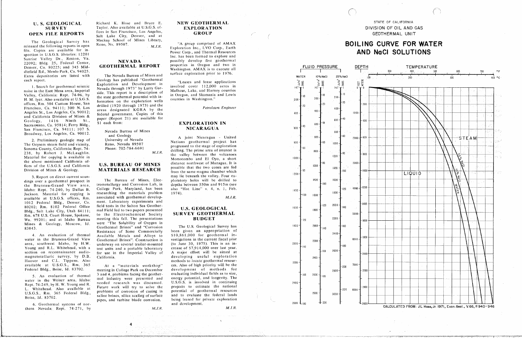### **U.S. GEOLOGICAL SURVEY OPEN FILE REPORTS**

The Geological Survey has released the following reports in open file. Copies are available for inspection in U.S.G.S. libraries: 12201 Sunrise Valley Dr., Reston, Va. 22092; Bldg. 25, Federal Center, Denver, Co. 80225; and 345 Middlefield Rd., Menlo Park, Ca. 94025. Extra depositories are listed with each report.

1. Search for geothermal seismic noise in the East Mesa area, Imperial Valley, California: Rept. 74-96, by H. M. Iver. Also available at U.S.G.S. offices, Rm. 504 Custom House, San Francisco, Ca. 94111; 300 N. Los Angeles St., Los Angeles, Ca. 90012; and California Division of Mines & Geology, 1416 Ninth St., Sacramento, Ca. 95814; Ferry Bldg., San Francisco, Ca. 94111; 107 S. Broadway, Los Angeles, Ca. 90012.

2. Preliminary geologic map of The Geysers steam field and vicinity, Sonoma County, California: Rept. 74-238, by Robert J. McLaughlin. Material for copying is available in the above mentioned California offices of the U.S.G.S. and California Division of Mines & Geology.

3. Report on direct current soundings over a geothermal prospect in the Bruneau-Grand View area, Idaho: Rept. 74-240, by Dallas B. Jackson. Material for copying is available at U.S.G.S. offices, Rm. 1012 Federal Bldg., Denver, Co. 80202; Rm. 8102 Federal Office Bldg., Salt Lake City, Utah 84111; Rm. 678 U.S. Court House, Spokane, Wa. 99201; and at Idaho Bureau Mines & Geology, Moscow, Id. 83843.

4. An evaluation of thermal water in the Bruneau-Grand View area, southwest Idaho, by H.W. Young and R.L. Whitehead, with a section on reconnaissance audiomagnetotelluric survey, by D.B. Hoover and C.L. Tippens. Also available at U.S.G.S., Rm. 365 Federal Bldg., Boise, Id. 83702.

5. An evaluation of thermal water in the Weiser area, Idaho: Rept. 74-249, by H. W. Young and R. L. Whitehead. Also available at U.S.G.S., Rm. 365 Federal Bldg., Boise, 1d. 83702.

6. Geothermal systems of northern Nevada: Rept. 74-271, by Richard K. Hose and Bruce E. Taylor, Also available at U.S.G.S. offices in San Francisco, Los Angeles, Salt Lake City, Denver, and at Mackay School of Mines Library, Reno, Nv. 89507.  $M.J.R.$ 

### **NEVADA GEOTHERMAL REPORT**

The Nevada Bureau of Mines and Geology has published "Geothermal Exploration and Development in Nevada through 1973" by Larry Garside. This report is a description of the state geothermal potential with information on the exploration wells drilled (1920 through 1973) and the areas designated KGRA by the federal government. Copies of this paper (Report 21) are available for \$1 each from:

> Nevada Bureau of Mines and Geology University of Nevada Reno, Nevada 89507 Phone: 702-784-6691  $M.J.R.$

### **U.S. BUREAU OF MINES MATERIALS RESEARCH**

The Bureau of Mines, Electrometallurgy and Corrosion Lab, in College Park, Maryland, has been researching the materials problem associated with geothermal development. Laboratory experiments and field tests in the Salton Sea Geothermal Field led to two papers presented to the Electrochemical Society meeting this fall. The presentations were "The Solubility of Oxygen in Geothermal Brines" and "Corrosion Resistance of Some Commercially Available Metals and Alloys to Geothermal Brines". Construction is underway on several trailer-mounted test units and a portable laboratory for use in the Imperial Valley of California.

"At a "materials workshop" meeting in College Park on December 3 and 4, problems facing the geothermal industry were presented and needed research was discussed. Future work will try to solve the problems of corrosion of casing in saline brines, silica scaling of surface pipes, and turbine blade corrosion.

 $M.J.R.$ 

### NEW GEOTHERMAL **EXPLORATION GROUP**

"A group comprised of AMAX Exploration Inc., LVO Corp., Earth Power Corp., and Thermal Resources Inc. has been formed to explore and possibly develop five geothermal properties in Oregon and two in Washington. AMAX is to execute all surface exploration prior to 1976.

"Leases and lease applications involved cover 112,000 acres in Malheur, Lake, and Harney counties in Oregon, and Skamania and Lewis counties in Washington."

Petroleum Engineer

### **EXPLORATION IN NICARAGUA**

A joint Nicaragua - United Nations geothermal project has progressed to the stage of exploration drilling. The prime area of interest is the valley between the volcanoes Momotombo and El Oyo, a short distance northwest of Managua. It is possible that the two cones are fed from the same magma chamber which may lie beneath the valley. Four exploratory holes will be drilled to depths between 550m and 915m (see also "Hot Line" v. 4, n. 1, Feb.  $1974$ ).

 $M, J, R.$ 

### **U.S. GEOLOGICAL** SURVEY GEOTHERMAL **BUDGET**

The U.S. Geological Survey has been given an appropriation of  $$10,861,000$  for geothermal investigations in the current fiscal year (to June 30, 1975). This is an increase of \$7,914,000 over last year. A major effort will be aimed at developing useful exploration methods to locate geothermal resources. Also of high priority will be the development of methods for evaluating individual fields as to size, energy potential, and longevity. The U.S.G.S. is involved in continuing projects to estimate the national potential of geothermal resources and to evaluate the federal lands being leased for private exploration and development.

 $M. J. R.$ 



STATE OF CALIFORNIA DIVISION OF OIL AND GAS GEOTHERMAL UNIT

## **BOILING CURVE FOR WATER** AND NaCI SOLUTIONS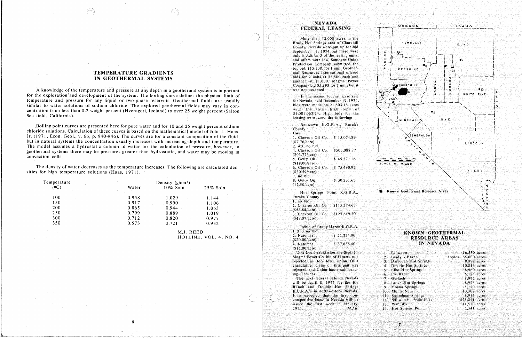### **TEMPERATURE GRADIENTS** IN GEOTHERMAL SYSTEMS

A knowledge of the temperature and pressure at any depth in a geothermal system is important for the exploration and development of the system. The boiling curve defines the physical limit of temperature and pressure for any liquid or two-phase reservoir. Geothermal fluids are usually similar to water solutions of sodium chloride. The explored geothermal fields may vary in concentration from less than 0.2 weight percent (Hverageri, Iceland) to over 25 weight percent (Salton Sea field, California).

Boiling point curves are presented here for pure water and for 10 and 25 weight percent sodium chloride solutions. Calculation of these curves is based on the mathematical model of John L. Haas, Jr. (1971, Econ. Geol., v. 66, p. 940-946). The curves are for a constant composition of the fluid, but in natural systems the concentration usually increases with increasing depth and temperature. The model assumes a hydrostatic column of water for the calculation of pressure; however, in geothermal systems there may be pressures greater than hydrostatic, and water may be moving in convection cells.

The density of water decreases as the temperature increases. The following are calculated densities for high temperature solutions (Haas, 1971):

| Temperature | Density $(g/cm3)$ |           |                   |  |  |
|-------------|-------------------|-----------|-------------------|--|--|
| (0C)        | Water             | 10% Soln. | $25\%$ Soln.      |  |  |
| 100         | 0.958             | 1.029     | 1.144             |  |  |
| 150         | 0.917             | 0.990     | 1.106             |  |  |
| 200         | 0.865             | 0.944     | 1.063             |  |  |
| 250         | 0.799             | 0.889     | 1.019             |  |  |
| 300         | 0.712             | 0.820     | an atten<br>0.977 |  |  |
| 350         | 0.573             | 0.721     | 0.932             |  |  |

5

M.J. REED HOTLINE, VOL. 4, NO. 4

### **NEVADA FEDERAL LEASING**

More than 12,000 acres in the Brady Hot Springs area of Churchill County, Nevada were put up for bid September 11, 1974 but there were only 6 bids on 5 of the leasing units. and offers were low. Southern Union Production Company submitted the top bid, \$15,108, for 1 unit. Geothermal Resources International offered bids for 2 units at \$6,500 each and another at \$1,000. Magma Power Company bid \$5,993 for 1 unit, but it was not accepted.

In the second federal lease sale for Nevada, held December 19, 1974, bids were made on 21,603.16 acres with the total high bids of \$1,001,063,74. High bids for the leasing units were the following:

Beowawe K.G.R.A., Eureka County Unit 1. Chevron Oil Co. \$ 15,074.89  $( $7.76/ \text{acre})$ 2. &3. no bid 4. Chevron Oil Co. \$505,088.77  $(203.77/2)$ 5. Getty Oil  $$45,371.16$  $(18,00/accre)$ 6. Chevron Oil Co. \$ 75,490.92  $($30.59/acre)$ 7. no bid 8. Getty Oil  $$30,231.63$  $(12.50/\text{acre})$ Hot Springs Point K.G.R.A., Eureka County  $\mathbf{1}$   $\mathbf{a}$   $\mathbf{a}$   $\mathbf{b}$   $\mathbf{a}$ 

| . 110.010.<br>2. Chevron Oil Co. |  |  | \$115,274.67 |  |
|----------------------------------|--|--|--------------|--|
| $( $53.84/a$ cre $ )$            |  |  |              |  |
| 3. Chevron Oil Co.               |  |  | \$125,619.20 |  |
| $(849.07/ \text{acre})$          |  |  |              |  |

|            |                   |  | Rebid of Brady-Hazen K.G.R.A. |
|------------|-------------------|--|-------------------------------|
|            | 1 & 3 no bid      |  |                               |
| 2. Natomas |                   |  | \$51,224.00                   |
|            | $($ \$20.00/acre) |  | \$37,688.40                   |
| 4. Natomas | CS15.00/acre)     |  |                               |

ting the also the new policy.

Unit 2 is a rebid after the Sept. 11 Magma Power Co. bid of \$1/acre was rejected as too low. Union Oil's grandfather claim on this unit was rejected and Union has a suit pending. The nex

The next federal sale in Nevada will be April 8, 1975 for the Fly Ranch and Double Hot Springs K.G.R.A.'s in northwestern Nevada. It is expected that the first noncompetitive lease in Nevada will be issued the first week in January, 1975.  $M.J.R.$ 



### **KNOWN GEOTHERMAL RESOURCE AREAS** IN NEVADA

|      | Beowawe<br>PS XXX.             |  | $16,530$ acres  |
|------|--------------------------------|--|-----------------|
| 2,   | Brady Hazen<br>approx.         |  | $65,000$ acres  |
| 3.   | Darrough Hot Springs           |  | 8,398 acres     |
| 1.   | Double Hot Springs             |  | 10,816 acres    |
| 5.   | Elko Hot Springs               |  | 8.960 acres     |
| 5.   | Fly Ranch                      |  | $5.125$ acres   |
| 75   | Gerlach<br>han bagailte a Salt |  | 8,972 acres     |
| 3.   | Leach Hot Springs              |  | 8.926 acres     |
| ).   | Moana Springs                  |  | 5,120 acres     |
| 0.   | Monte Neva                     |  | $10.302$ acres  |
| Ï.   | Steamboat Springs              |  | $-8.914$ acres  |
| 27   | Stillwater - Soda Lake         |  | $225,211$ acres |
| $3-$ | Wabuska                        |  | $11.520$ acres  |
| 4.   | Hot Springs Point              |  | $5,341$ acres   |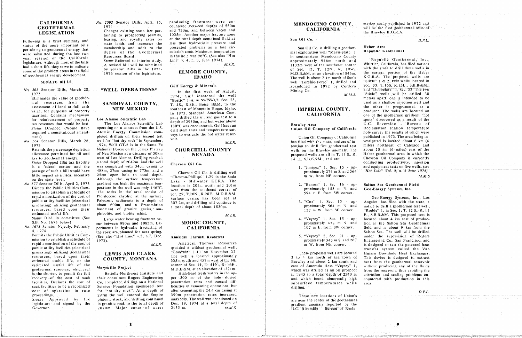No. 563 Senator Dills, March 28,

tax revenues that would be lost. The Los Alamos Scientific Lab

generation of the second termal about  $\frac{1}{2}$  and  $\frac{1}{2}$  m W. and  $\frac{1}{2}$  m W. from SE corner.  $\frac{1}{2}$  and  $\frac{1}{2}$  m W. from SE corner.  $\frac{1}{2}$  m Rec. 1, T. 12 S., R. 13

## \*WELL OPERATIONS\*

No.  $564$  Senator Dills, March 28, well for "hot dry rock" in September, <sup>VOIT</sup> WALER. *No. 1973* Senator Dills, March 28, well for "hot dry rock" in September, voir.<br>
1973 **1973** 1974 Well GT-2 is in the Santa Fe **M.J.R.** M.J.R. In the area being the area being interval the area being interval the area bein Extends the percentage depletion National Forest on the Jemez Plateau CHURCHILL COUNTY wells on the Brawley anomaly. The about 10 km (6 miles) east of the allowance permitted for oil and of New Mexico at a distance of 30km **NEVADA** proposed wells are all in T. 13 S., R. Heber geothermal area in which the gas to geothermal energy. west of Los Alamos, Drilling reached **14 and 14 S., R.B.A. and area** Chevron Oil Company is currently Status Dropped (Big tax liability a total depth of 2042m, and the well Chevron Oil Co. is a federal matter and the was completed with 34cm casing to the violent of the co. conduction of the violence of  $\frac{1}{2}$  "Jiminez" 1, Sec. 15 - ap- and equipment tests on five wells. (see passage of such a bill would have 488m, 27cm casing to 773m, and a Chevron Oil Co. is drilling well proximately 274 m S. and 564 *Hot Line' Vol. 4, n. 3 June* 1974) on the state level.<br>
No 577 Senator Dills, April 2, 1973 gradient was high, the maximum tem-<br>
Late to the surface is 201m next and 201m gradient was high, the maximum tem-<br>location is 201m north and 201m rapid amortization of the cost of Pleistocene rhyolite at the surface,  $\frac{\text{Set}}{\text{Surface}}$  casing has been set at public utility facilities (electrical Precembrian a total depth of about 1830m.<br>
basement of granite gneiss, am-<br>
137 m W from SE corner. "Rodde" 1 in Sec. 1. T. 12 S. R. 13

estimated use the committee (See Large water bearing fractures oc-<br>
A. "Veysey" 1, Sec. 15 - ap- located about 4 km east of produc-S.B. No. 1673 below) cur between 990m and 1085m. Ex- **MODOC COUNTY**, proximately 472 m N. and tion in the Salton Sea Geothermal No. 1673 Senator Nejedly, February periments in hydraulic fracturing of **CALIFORNIA** 107 m E. from SW corner. field and is about 9 km from the *No*. *1974* Salton Sea. The well will be drilled senator next spring. Permits the Public Utilities Com-<br>
(See also "Hot Line" v.3, n.7, Dec. American Thermal Resources 5. "Veysey" 2, Sec. 21 - ap- under the supervision of Rogers

is the state of the shorter to permit the full Batteller and the followed and the full Batteller and High-head frequency in the method of the up- m 1945 to a total deposition and scaling problems en-<br>Facilities. Declares t facilities. Declares the cost of Co. completed drilling on a National penetration rates and caused dif-<br>absurface temperatures while area. such facilities to be a recognized Science Foundation sponsored test ficulties in cementing operations, but drilling, cost of operation in rate for "hot dry rock". At a depth of after cementing the 24.4 cm casing at cost of operation in rate for "hot dry rock". At a depth of after cementing the 24.4 cm casing at *D.P.L.*<br>proceedings. 297m the well entered the Empire 390m penetration rates increased **These new locations of Union's** Status Approved by the plutonic stock, and drilling continued markedly. The well was abandoned on are near the center of the geothermal legislature and signed by the in granitic rock to the total depth of Dec. 19, 1974 at a total depth of and abandoned by the gradient anomaly reported by the

CALIFORNIA *No. 2092* Senator Dills. April 15, producing fractures were en-<br>GEOTHERMAL 1974 **GEOTHERMAL** 1974 countered between depths of 550m<br> **CALIFORNIA** will be the first geothermal tests of **LEGISLATION** the Brawley K.G.R.A. taining to prospecting permits, 1035m. Another major fracture zone teasing, and royalty rates on at the total depth contained fluid at  $\blacksquare$  Sun Oil Co. Following is a brief summary and leasing, and royalty rates on at the total depth contained fluid at Sun Oil Co.<br>
status of the more important bills state lands and increases the less than hydrostatic pressure and state is status of the more important bins<br>pertaining to geothermal and increases that the duties of the Geothermal culation zone. Maximum temperature pertaining to geothermal energy that membership and adds to the problems and problems and added problems and the problems and added to the presented problems and the problems and the problems and the problems and the probl were submitted during the last two during Resources Board. The last the hole was 96°C. (See also "Hot and in southeastern Mendocino County Republic Geothermal, Inc., and the last two during the States Republic *Status Refe* 

*Formulates* the value of geother-<br>Eliminates the value of geother-<br>Eliminates the value of geother-<br>1974, Gulf reenter of August. March 28. The two states apart; one is intended to be 1974, Gulf reentered the well **Mathematics** meters apart; one is intended to be meters apart; one is intended to be meters apart; one is intended to be meters apart; one is intended to be mal resources from the **SANDOVAL COUNTY**, T 4S, R.B. Boise B&M, to the the used as a shallow injection well and real resources of resources of the SANDOVAL COUNTY, and the used as a southeast of Mountain Home, Idaho. The use of the used as a shallow in the used as a shallow in the used as a shallow in the used as a shallow in the us value, for purposes of property NEW MEXICO southeast of Mountain Home, IGHO.<br>In 1973, Standard American Com-<br>CALIFORNIA value, in purposes of property of property.<br>
In 1973, Standard American Com-<br>
In 1973, Standard American Com-<br>
CALIFORNIA one of the geothermal gradient "hot taxation. Contains mechanism **In 1974.** In 1975, In 1975, In 1975, In 1975, In 1975, In 1975, In 1987, In 1988, In 1988, In 1988, In 1988, In 1988, In 1988, In 1988, In 1988, In 1988, In 1988, In 1988, In 1988, In 1988, In tax revenues that would be lost. The Los Alamos Scientific Lab depth of 2950m, and not water above the spots of the spots of the spots of the spots of the spots of the spots of the spots of the spots of the spots of the sp required a constitutional amend-<br>ment) hole survey the results of which were<br>ment) hole survey the results of which were<br>linion Oil Company of California published in 1973. The area being inreput) pleted drilling on their second test veys to evaluate the not water reserved the results of California

ittle impact as a fiscal incentive 25cm open hole to total depth.<br>
on the state level. Although the surface temperature chevron-phillips'' 1-29 in the Soda m W, from NE corner. *No*. 577 Senator Dills, April 2, 1973 gradient was high, the maximum tem-<br>Directs the Public Utilities Com-<br>perature in the well was only 146°C.<br>west from the southeast corner of and proximately 155 m N. and **Geo-Energy S** mission to establish a schedule of The rocks in the area consist of Sec. 29, T.20N., R.28E., M.D.B.&M. 594 m E. from SW corner. rapid amortization of the cost of Pleistocene rhyolite at the surface, surface casing has been set at at Geo-Energy Systems, Inc., Los<br>public utility facilities (electrical Paleozoic sediments to a depth of 307.2m, and dri

e se provincia de la construcción de la construcción de la construcción de la construcción de la construcción d

rapid amortization of the cost of  $M.J.R.$  American Thermal Resources m W. from NE corner. is designed to test the patented heat public utility facilities (electrical spudded a wildcat geothermal well, transfer system called the Van public utilizing geothermal **LEWIS AND CLARK** Goodwin 1-11 on November 22.<br>
The well is located approximately a wild a wild a wild a wild a wild the United the Van The Van The Van The Van The Van The Van The Van The Van Th

# **MENDOCINO COUNTY,**

Sun Oil Co. is drilling a geotheryear session of the california<br>
legislature. A revised bill will be submitted and method and method and method of the southeast corner<br>
Explored. M.J.R. 133m west of the southeast corner legislature. Although most of the bills interiment of the submitted and a short life, the square interim study, and a short interim study, and a short interim study, and Revised bill will be submitted and Republican Status had a short life, they serve to indicate by Senator Dills in the 1975-<br>Some of the problem areas in the field by Senator Dills in the 1975-**ELMORE COUNTY**, of Sec. 13, T. 12N., R. 10W., with the state to drill three wells some of the problem areas in the field by Senator of the legislature.<br> **IDAHO** The well is about 2 km north of Sun's K.G.R.A. The proposed wells are **IDARIV** The well is about 2 km north of Sun's N.O.K.A. The proposed wents are<br>FENATE BULLES IN Terms and "Silzle" 1 & 2 twin wells located in SENATE BILLS SENATE BILLS SENATE BILLS WELL SERVICES AND SALLS WELL SERVICES OF SEC. 33, T.16S, R.15E., S.B.B.&M.; In the first week of August, Mining Co. Mining Co. and Dobbelare" 1, Sec. 32. The two Sec. 32, The two Mining Co.

- 
- 
- 
- mission to establish a schedule of 1973). (See also Hot Elite V.S., M.V., 2000) American Therman Resources proximately 343 m S. and 267 Engineering Co., San Francisco, and

resources, based upon their<br>country **COUNTY MONTANA** The well is located approximately<br>and the ME estimated usable life, or the **COUNTY, MONIANA** 335m south and 457m west of the NE Brawley and about 2 km south and heat from the geothermal reservoir estimated useful life of the Marysville Project corner of Sec. 11, T. 41N., R. 16E., east of Amerada Hess "Veysey" 1, without producing any of the fluids and about 2 km south and including the geothermal reservoir geothermal resource, whichever. Marysville Project M.D.B.&M. at an elevation of 1371m. which was drilled as an oil prospect from the reservoir, thus avoiding the geothermal resources, which was a resource Mary of the cost of such their consultant Rogers Engineering per 300 m of the hole slowed and which found abnormally high correspondent and the resource in the resource of the res

dovernor. The intervalse and signed by *the industry and signed by a total* depth of the intervalse to the intervalse of Recla-Governor. 2070m. Major zones of water 2135 m. *M*.*M*.*S*. U*.*C. Riverside - Bureau of Recla-

mation study published in 1972 and

phibolite, and biotite schist.<br>M.J.R. E., S.B.B.&M. This proposed test is